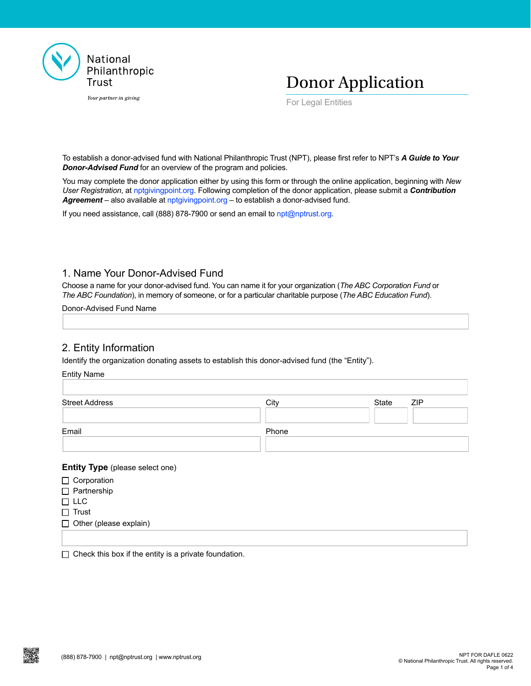

Your partner in giving



For Legal Entities

To establish a donor-advised fund with National Philanthropic Trust (NPT), please first refer to NPT's *A Guide to Your Donor-Advised Fund* for an overview of the program and policies.

You may complete the donor application either by using this form or through the online application, beginning with *New User Registration*, at [nptgivingpoint.org.](http://nptgivingpoint.org) Following completion of the donor application, please submit a *Contribution Agreement* – also available at [nptgivingpoint.org](http://nptgivingpoint.org) – to establish a donor-advised fund.

If you need assistance, call (888) 878-7900 or send an email to [npt@nptrust.org.](mailto:npt%40nptrust.org?subject=)

## 1. Name Your Donor-Advised Fund

Choose a name for your donor-advised fund. You can name it for your organization (*The ABC Corporation Fund* or *The ABC Foundation*), in memory of someone, or for a particular charitable purpose (*The ABC Education Fund*).

Donor-Advised Fund Name

## 2. Entity Information

Identify the organization donating assets to establish this donor-advised fund (the "Entity").

| Entity Name           |       |                     |
|-----------------------|-------|---------------------|
| <b>Street Address</b> | City  | State<br><b>ZIP</b> |
| Email                 | Phone |                     |
|                       |       |                     |

#### **Entity Type** (please select one)

- □ Corporation
- □ Partnership

Entity Name

- $\Box$  LLC
- $\Box$  Trust
- $\Box$  Other (please explain)

 $\Box$  Check this box if the entity is a private foundation.

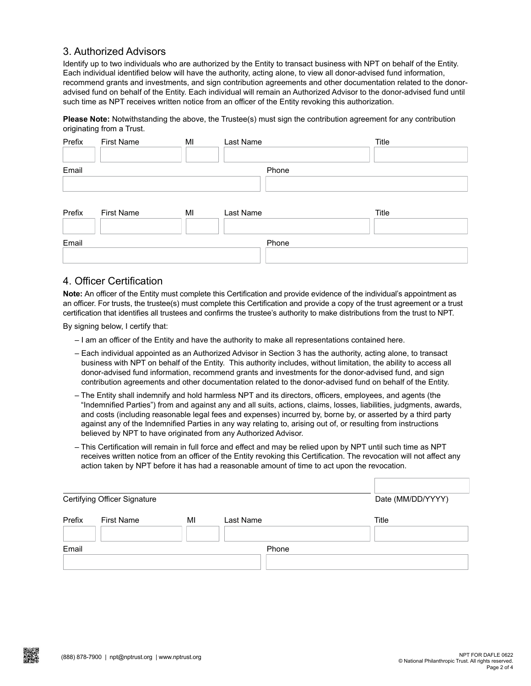## 3. Authorized Advisors

Identify up to two individuals who are authorized by the Entity to transact business with NPT on behalf of the Entity. Each individual identified below will have the authority, acting alone, to view all donor-advised fund information, recommend grants and investments, and sign contribution agreements and other documentation related to the donoradvised fund on behalf of the Entity. Each individual will remain an Authorized Advisor to the donor-advised fund until such time as NPT receives written notice from an officer of the Entity revoking this authorization.

**Please Note:** Notwithstanding the above, the Trustee(s) must sign the contribution agreement for any contribution originating from a Trust.

| Prefix | First Name        | MI | Last Name | Title |
|--------|-------------------|----|-----------|-------|
| Email  |                   |    | Phone     |       |
| Prefix | <b>First Name</b> | MI | Last Name | Title |
| Email  |                   |    | Phone     |       |

## 4. Officer Certification

**Note:** An officer of the Entity must complete this Certification and provide evidence of the individual's appointment as an officer. For trusts, the trustee(s) must complete this Certification and provide a copy of the trust agreement or a trust certification that identifies all trustees and confirms the trustee's authority to make distributions from the trust to NPT.

By signing below, I certify that:

- I am an officer of the Entity and have the authority to make all representations contained here.
- Each individual appointed as an Authorized Advisor in Section 3 has the authority, acting alone, to transact business with NPT on behalf of the Entity. This authority includes, without limitation, the ability to access all donor-advised fund information, recommend grants and investments for the donor-advised fund, and sign contribution agreements and other documentation related to the donor-advised fund on behalf of the Entity.
- The Entity shall indemnify and hold harmless NPT and its directors, officers, employees, and agents (the "Indemnified Parties") from and against any and all suits, actions, claims, losses, liabilities, judgments, awards, and costs (including reasonable legal fees and expenses) incurred by, borne by, or asserted by a third party against any of the Indemnified Parties in any way relating to, arising out of, or resulting from instructions believed by NPT to have originated from any Authorized Advisor.
- This Certification will remain in full force and effect and may be relied upon by NPT until such time as NPT receives written notice from an officer of the Entity revoking this Certification. The revocation will not affect any action taken by NPT before it has had a reasonable amount of time to act upon the revocation.

| Certifying Officer Signature |                   |    |           | Date (MM/DD/YYYY) |  |
|------------------------------|-------------------|----|-----------|-------------------|--|
| Prefix                       | <b>First Name</b> | MI | Last Name | Title             |  |
| Email                        |                   |    | Phone     |                   |  |

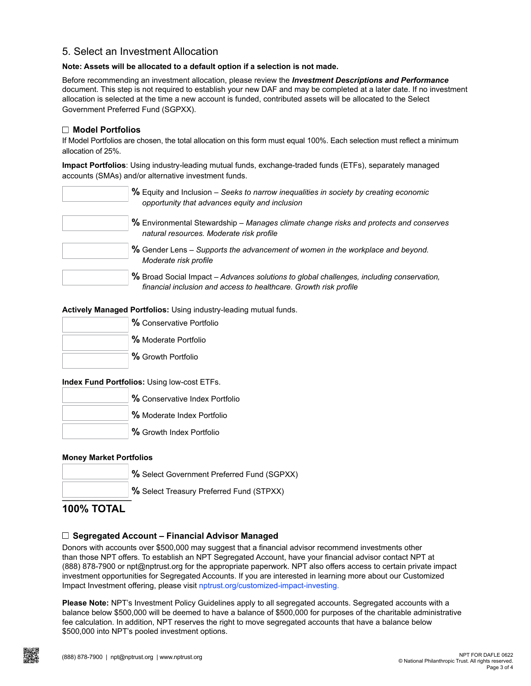## 5. Select an Investment Allocation

#### **Note: Assets will be allocated to a default option if a selection is not made.**

Before recommending an investment allocation, please review the *[Investment Descriptions and Performance](https://www.nptrust.org/wp-content/uploads/2019/10/Investment-Descriptions-and-Performance-NPT.pdf)* document. This step is not required to establish your new DAF and may be completed at a later date. If no investment allocation is selected at the time a new account is funded, contributed assets will be allocated to the Select Government Preferred Fund (SGPXX).

#### **Model Portfolios**

If Model Portfolios are chosen, the total allocation on this form must equal 100%. Each selection must reflect a minimum allocation of 25%.

**Impact Portfolios**: Using industry-leading mutual funds, exchange-traded funds (ETFs), separately managed accounts (SMAs) and/or alternative investment funds.

| % Equity and Inclusion – Seeks to narrow inequalities in society by creating economic<br>opportunity that advances equity and inclusion                       |
|---------------------------------------------------------------------------------------------------------------------------------------------------------------|
| % Environmental Stewardship - Manages climate change risks and protects and conserves<br>natural resources. Moderate risk profile                             |
| % Gender Lens - Supports the advancement of women in the workplace and beyond.<br>Moderate risk profile                                                       |
| % Broad Social Impact – Advances solutions to global challenges, including conservation,<br>financial inclusion and access to healthcare. Growth risk profile |

**Actively Managed Portfolios:** Using industry-leading mutual funds.

| % Conservative Portfolio |
|--------------------------|
| % Moderate Portfolio     |
| % Growth Portfolio       |

**Index Fund Portfolios:** Using low-cost ETFs.

| % Conservative Index Portfolio |  |
|--------------------------------|--|
| % Moderate Index Portfolio     |  |
| % Growth Index Portfolio       |  |

#### **Money Market Portfolios**

| % Select Government Preferred Fund (SGPXX) |
|--------------------------------------------|
| % Select Treasury Preferred Fund (STPXX)   |

# **100% TOTAL**

### **Segregated Account – Financial Advisor Managed**

Donors with accounts over \$500,000 may suggest that a financial advisor recommend investments other than those NPT offers. To establish an NPT Segregated Account, have your financial advisor contact NPT at (888) 878-7900 or npt@nptrust.org for the appropriate paperwork. NPT also offers access to certain private impact investment opportunities for Segregated Accounts. If you are interested in learning more about our Customized Impact Investment offering, please visit [nptrust.org/customized-impact-investing](http://nptrust.org/customized-impact-investing).

**Please Note:** NPT's Investment Policy Guidelines apply to all segregated accounts. Segregated accounts with a balance below \$500,000 will be deemed to have a balance of \$500,000 for purposes of the charitable administrative fee calculation. In addition, NPT reserves the right to move segregated accounts that have a balance below \$500,000 into NPT's pooled investment options.